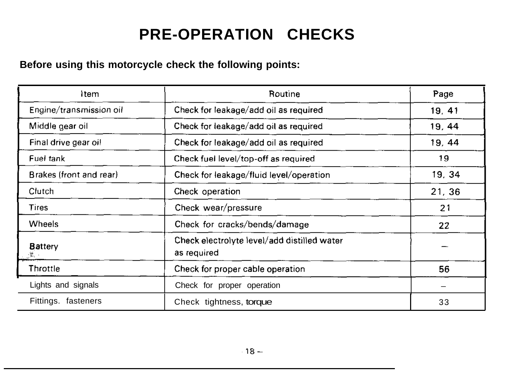# **PRE-OPERATION CHECKS**

# **Before using this motorcycle check the following points:**

| Item                    | Routine<br>Page                                            |        |
|-------------------------|------------------------------------------------------------|--------|
| Engine/transmission oil | Check for leakage/add oil as required<br>19, 41            |        |
| Middle gear oil         | Check for leakage/add oil as required<br>19, 44            |        |
| Final drive gear oil    | Check for leakage/add oil as required<br>19, 44            |        |
| Fuel tank               | 19<br>Check fuel level/top-off as required                 |        |
| Brakes (front and rear) | Check for leakage/fluid level/operation                    | 19, 34 |
| Clutch                  | Check operation<br>21, 36                                  |        |
| <b>Tires</b>            | Check wear/pressure<br>21                                  |        |
| Wheels                  | Check for cracks/bends/damage<br>22                        |        |
| <b>Battery</b>          | Check electrolyte level/add distilled water<br>as required |        |
| Throttle                | 56<br>Check for proper cable operation                     |        |
| Lights and signals      | Check for proper operation                                 |        |
| Fittings. fasteners     | Check tightness, torque<br>33                              |        |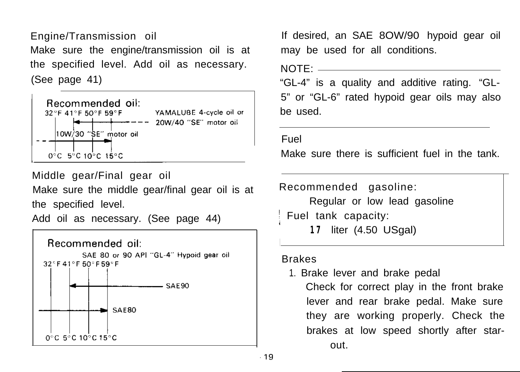Engine/Transmission oil Make sure the engine/transmission oil is at the specified level. Add oil as necessary. (See page 41)



Middle gear/Final gear oil

Make sure the middle gear/final gear oil is at the specified level.

Add oil as necessary. (See page 44)



If desired, an SAE 8OW/90 hypoid gear oil may be used for all conditions.

 $NOTF:$ 

"GL-4" is a quality and additive rating. "GL-5" or "GL-6" rated hypoid gear oils may also be used.

Fuel

Make sure there is sufficient fuel in the tank.

Recommended gasoline:

Regular or low lead gasoline ) Fuel tank capacity:

**17** liter (4.50 USgal)

#### Brakes

1. Brake lever and brake pedal Check for correct play in the front brake lever and rear brake pedal. Make sure they are working properly. Check the brakes at low speed shortly after starout.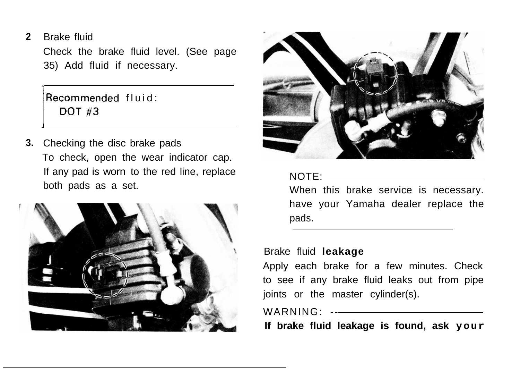**2** Brake fluid

> Check the brake fluid level. (See page 35) Add fluid if necessary.

 $Recommended$  fluid: **DOT #3** 

**3.** Checking the disc brake pads To check, open the wear indicator cap. If any pad is worn to the red line, replace both pads as a set.





#### NOTE:

When this brake service is necessary. have your Yamaha dealer replace the pads.

#### Brake fluid **leakage**

Apply each brake for a few minutes. Check to see if any brake fluid leaks out from pipe joints or the master cylinder(s).

# WARNING: --

**If brake fluid leakage is found, ask your**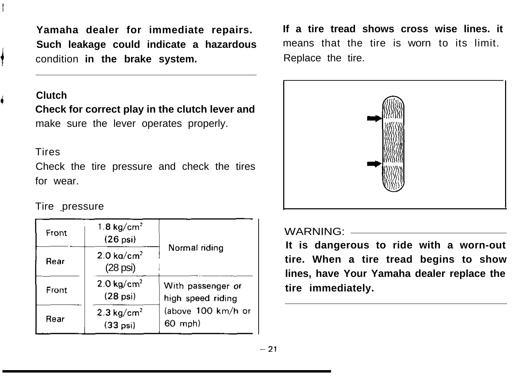**Such leakage could indicate a hazardous** means that the tire is worn to its limit. condition in the brake system. The Replace the tire.

# <sup>4</sup> **Clutch**

i

**Check for correct play in the clutch lever and** make sure the lever operates properly.

#### **Tires**

Check the tire pressure and check the tires for wear.

# Tire pressure

| Front | $1.8$ kg/cm <sup>2</sup><br>$(26$ psi $)$   |                                                                                  |  |
|-------|---------------------------------------------|----------------------------------------------------------------------------------|--|
| Rear  | $2.0 \text{ ka/cm}^2$<br>$(28 \text{ psi})$ | Normal riding                                                                    |  |
| Front | $2.0 \text{ ka/cm}^2$<br>$(28$ psi $)$      | With passenger or<br>high speed riding<br>(above 100 km/h or<br>$60 \text{ mph}$ |  |
| Rear  | $2.3 \text{ kg/cm}^2$<br>$(33 \text{ psi})$ |                                                                                  |  |

**Yamaha dealer for immediate repairs. If a tire tread shows cross wise lines. it**



#### WARNING:

**It is dangerous to ride with a worn-out tire. When a tire tread begins to show lines, have Your Yamaha dealer replace the tire immediately.**